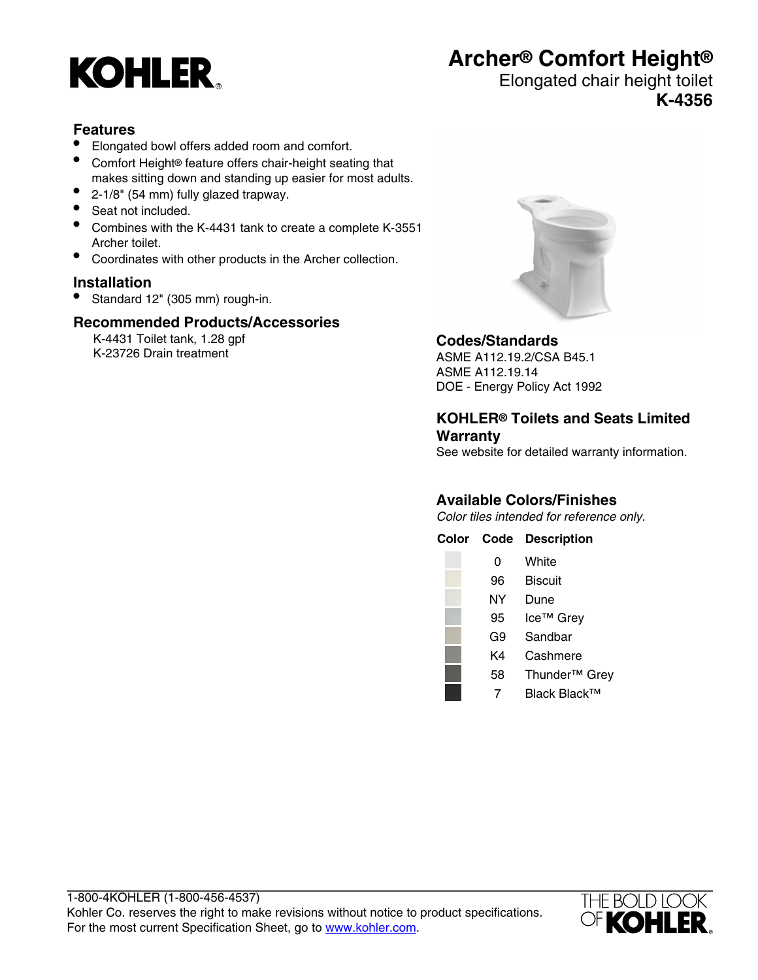

# **Archer® Comfort Height®**

### Elongated chair height toilet **K-4356**

#### **Features**

- Elongated bowl offers added room and comfort.
- Comfort Height® feature offers chair-height seating that makes sitting down and standing up easier for most adults.
- 2-1/8" (54 mm) fully glazed trapway.
- Seat not included.
- Combines with the K-4431 tank to create a complete K-3551 Archer toilet.
- Coordinates with other products in the Archer collection.

#### **Installation**

• Standard 12" (305 mm) rough-in.

#### **Recommended Products/Accessories**

K-4431 Toilet tank, 1.28 gpf K-23726 Drain treatment



#### **Codes/Standards**

ASME A112.19.2/CSA B45.1 ASME A112.19.14 DOE - Energy Policy Act 1992

#### **KOHLER® Toilets and Seats Limited Warranty**

See website for detailed warranty information.

### **Available Colors/Finishes**

Color tiles intended for reference only.

| Color | Code | <b>Description</b>        |
|-------|------|---------------------------|
|       | 0    | White                     |
|       | 96   | Biscuit                   |
|       | NΥ   | Dune                      |
|       | 95   | Ice <sup>™</sup> Grey     |
|       | G9   | Sandbar                   |
|       | K4   | Cashmere                  |
|       | 58   | Thunder <sup>™</sup> Grey |
|       |      | Black Black™              |